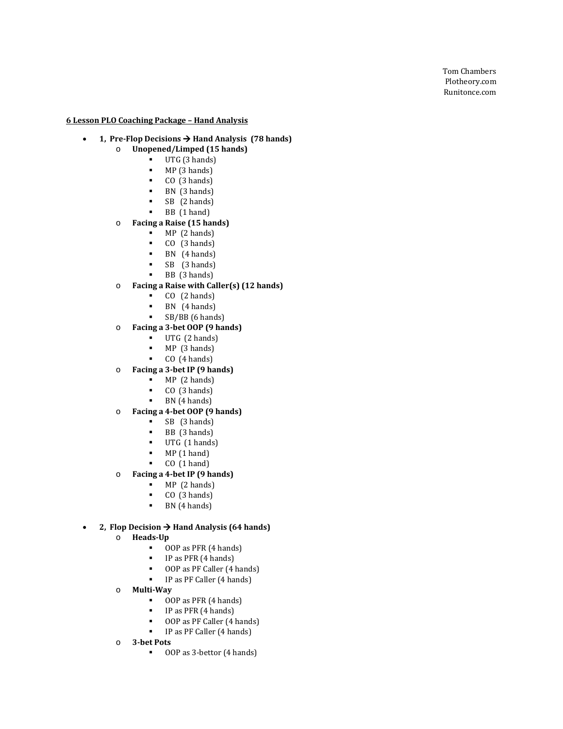Tom Chambers Plotheory.com Runitonce.com

**6 Lesson PLO Coaching Package – Hand Analysis**

#### • **1, Pre -Flop Decisions Hand Analysis (78 hands)**

- o **Unopened/Limped (15 hands)**
	- UTG  $(3 \text{ hands})$ <br>
	MP  $(3 \text{ hands})$ 
		- $MP(3 \text{ hands})$ <br> $P(0 (3 \text{ hands}))$
		- CO  $(3 \text{ hands})$ <br>RN  $(3 \text{ hands})$
		- BN (3 hands)
		- SB (2 hands)
		- BB (1 hand)

# o **Facing a Raise (15 hands)**

- 
- **MP** (2 hands)<br>**CO** (3 hands)<br>**RN** (4 hands)
- $\blacksquare$  BN (4 hands)
- SB (3 hands)
- BB (3 hands)

# o **Facing a Raise with Caller(s) (12 hands)**

- $CO$  (2 hands)
- BN (4 hands)
- SB/BB (6 hands)
- o **Facing a 3-bet OOP (9 hands)**
	- UTG (2 hands)
	-
	- $MP(3 \text{ hands})$ <br> $P(0.4 \text{ hands})$ CO (4 hands)
- o **Facing a 3-bet IP (9 hands)**
	- MP (2 hands)
	-
	- CO  $(3 \text{ hands})$ <br>BN  $(4 \text{ hands})$
- o **Facing a 4-bet OOP (9 hands)**
	- $SB$  (3 hands)<br> $BR$  (3 hands)
	-
	- **BB** (3 hands)<br>**IITG** (1 hands) UTG (1 hands)
	- $MP(1 \text{ hand})$
	- CO (1 hand)
- o **Facing a 4-bet IP (9 hands)**
	- $MP (2 hands)$ <br> $P (Q (3 hands)$
	- CO  $(3 \text{ hands})$ <br>RN  $(4 \text{ hands})$
	- BN (4 hands)

# • **2, Flop Decision Hand Analysis (64 hands)**

- o **Heads -Up**
	- **OOP** as PFR  $(4 \text{ hands})$ <br> **P** as PFR  $(4 \text{ hands})$
	- **IP** as PFR  $(4 \text{ hands})$ <br> **OOP** as PF Caller  $(4 \text{ miles})$
	- OOP as PF Caller (4 hands)
	- IP as PF Caller (4 hands)
- o **Multi -Way**
	- **OOP** as PFR  $(4 \text{ hands})$ <br>**P** as PFR  $(4 \text{ hands})$ 
		-
	- IP as PFR (4 hands)<br> **OOP** as PF Caller (4 hands)
	- $\blacksquare$  IP as PF Caller (4 hands)
- o **3 -bet Pots** 
	- 00P as 3-bettor (4 hands)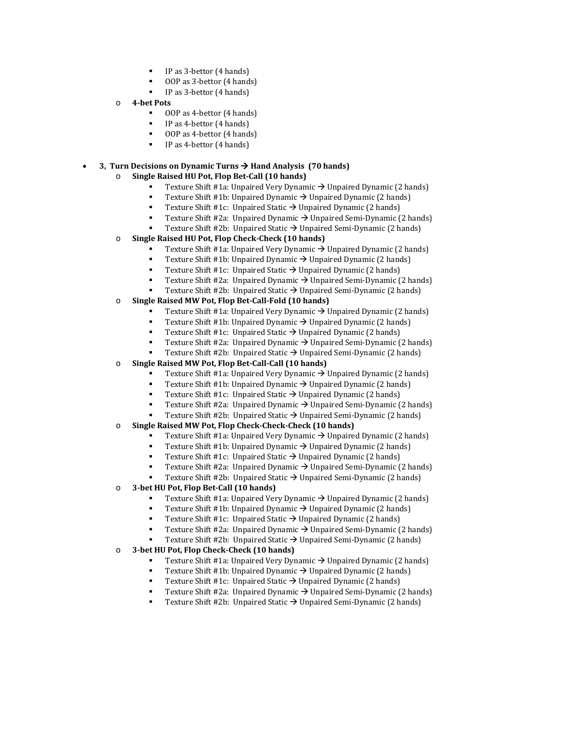- IP as 3-bettor (4 hands)
- OOP as 3-bettor (4 hands)
- IP as 3-bettor (4 hands)
- o **4-bet Pots** 
	- OOP as 4-bettor (4 hands)
	- IP as 4-bettor (4 hands)
	- OOP as 4-bettor (4 hands)
	- IP as 4-bettor (4 hands)

# • **3, Turn Decisions on Dynamic Turns Hand Analysis (70 hands)**

- o **Single Raised HU Pot, Flop Bet-Call (10 hands)**
	- Texture Shift #1a: Unpaired Very Dynamic  $\rightarrow$  Unpaired Dynamic (2 hands)
	- Texture Shift #1b: Unpaired Dynamic  $\rightarrow$  Unpaired Dynamic (2 hands)
	- Texture Shift #1c: Unpaired Static  $\rightarrow$  Unpaired Dynamic (2 hands)
	- Texture Shift #2a: Unpaired Dynamic → Unpaired Semi-Dynamic (2 hands)
	- Texture Shift #2b:Unpaired Static Unpaired Semi-Dynamic (2 hands)
- o **Single Raised HU Pot, Flop Check-Check (10 hands)**
	- Texture Shift #1a: Unpaired Very Dynamic  $\rightarrow$  Unpaired Dynamic (2 hands)
	- Texture Shift #1b: Unpaired Dynamic  $\rightarrow$  Unpaired Dynamic (2 hands)
	- Texture Shift #1c: Unpaired Static  $\rightarrow$  Unpaired Dynamic (2 hands)
	- Texture Shift #2a:Unpaired Dynamic Unpaired Semi-Dynamic (2 hands)
	- Texture Shift #2b:Unpaired Static Unpaired Semi-Dynamic (2 hands)

### o **Single Raised MW Pot, Flop Bet-Call-Fold (10 hands)**

- Texture Shift #1a: Unpaired Very Dynamic  $\rightarrow$  Unpaired Dynamic (2 hands)
- Texture Shift #1b: Unpaired Dynamic  $\rightarrow$  Unpaired Dynamic (2 hands)<br>Texture Shift #1c: Unpaired Static  $\rightarrow$  Unpaired Dynamic (2 hands)
- Texture Shift #1c: Unpaired Static  $\rightarrow$  Unpaired Dynamic (2 hands)
- Texture Shift #2a:Unpaired Dynamic Unpaired Semi-Dynamic (2 hands)
- Texture Shift #2b:Unpaired Static Unpaired Semi-Dynamic (2 hands)
- o **Single Raised MW Pot, Flop Bet-Call-Call (10 hands)**
	- Texture Shift #1a: Unpaired Very Dynamic  $\rightarrow$  Unpaired Dynamic (2 hands)
	- Texture Shift #1b: Unpaired Dynamic  $\rightarrow$  Unpaired Dynamic (2 hands)
	- Texture Shift #1c: Unpaired Static  $\rightarrow$  Unpaired Dynamic (2 hands)
	- Texture Shift #2a:Unpaired Dynamic Unpaired Semi-Dynamic (2 hands)
	- Texture Shift #2b:Unpaired Static Unpaired Semi-Dynamic (2 hands)
- o **Single Raised MW Pot, Flop Check-Check-Check (10 hands)**
	- Texture Shift #1a: Unpaired Very Dynamic  $\rightarrow$  Unpaired Dynamic (2 hands)
	- Texture Shift #1b: Unpaired Dynamic  $\rightarrow$  Unpaired Dynamic (2 hands)
	- Texture Shift #1c: Unpaired Static  $\rightarrow$  Unpaired Dynamic (2 hands)
	- Texture Shift #2a:Unpaired Dynamic Unpaired Semi-Dynamic (2 hands)
	- Texture Shift #2b: Unpaired Static → Unpaired Semi-Dynamic (2 hands)
- o **3-bet HU Pot, Flop Bet-Call (10 hands)**
	- Texture Shift #1a: Unpaired Very Dynamic  $\rightarrow$  Unpaired Dynamic (2 hands)
	- Texture Shift #1b: Unpaired Dynamic  $\rightarrow$  Unpaired Dynamic (2 hands)
	- Texture Shift #1c: Unpaired Static  $\rightarrow$  Unpaired Dynamic (2 hands)
	- Texture Shift #2a:Unpaired Dynamic Unpaired Semi-Dynamic (2 hands)
	- Texture Shift #2b:Unpaired Static Unpaired Semi-Dynamic (2 hands)

#### o **3-bet HU Pot, Flop Check-Check (10 hands)**

- Texture Shift #1a: Unpaired Very Dynamic  $\rightarrow$  Unpaired Dynamic (2 hands)
- Texture Shift #1b: Unpaired Dynamic  $\rightarrow$  Unpaired Dynamic (2 hands)
- Texture Shift #1c: Unpaired Static  $\rightarrow$  Unpaired Dynamic (2 hands)
- Texture Shift #2a:Unpaired Dynamic Unpaired Semi-Dynamic (2 hands)
- Texture Shift #2b: Unpaired Static → Unpaired Semi-Dynamic (2 hands)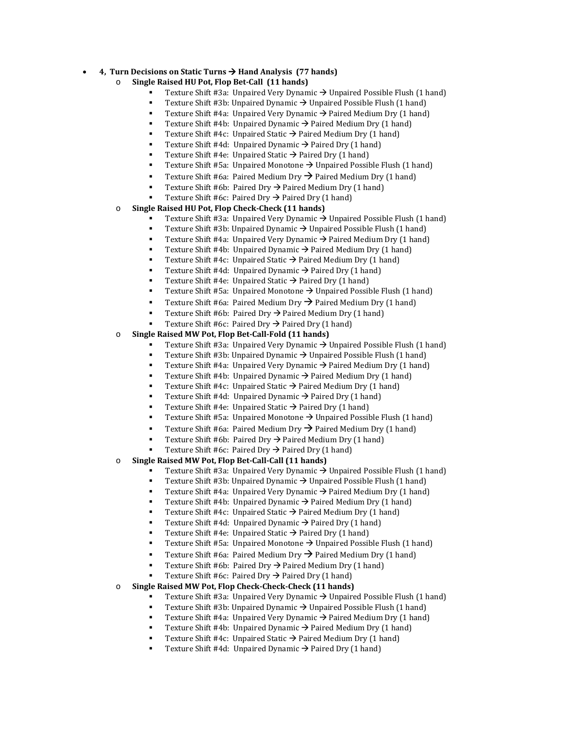#### • **4, Turn Decisions on Static Turns Hand Analysis (77 hands)**

- o **Single Raised HU Pot, Flop Bet-Call (11 hands)**
	- Texture Shift #3a: Unpaired Very Dynamic  $\rightarrow$  Unpaired Possible Flush (1 hand)
	- Texture Shift #3b: Unpaired Dynamic  $\rightarrow$  Unpaired Possible Flush (1 hand)
	- Texture Shift #4a: Unpaired Very Dynamic  $\rightarrow$  Paired Medium Dry (1 hand)
	- Texture Shift #4b: Unpaired Dynamic  $\rightarrow$  Paired Medium Dry (1 hand)
	- Texture Shift #4c: Unpaired Static  $\rightarrow$  Paired Medium Dry (1 hand)
	- Texture Shift #4d: Unpaired Dynamic  $\rightarrow$  Paired Dry (1 hand)
	- Texture Shift #4e: Unpaired Static  $\rightarrow$  Paired Dry (1 hand)
	- Texture Shift #5a: Unpaired Monotone  $\rightarrow$  Unpaired Possible Flush (1 hand)
	- **Texture Shift #6a: Paired Medium Dry**  $\rightarrow$  **Paired Medium Dry (1 hand)**
	- Texture Shift #6b: Paired Dry  $\rightarrow$  Paired Medium Dry (1 hand)
	- Texture Shift #6c: Paired Dry  $\rightarrow$  Paired Dry (1 hand)

#### o **Single Raised HU Pot, Flop Check-Check (11 hands)**

- Texture Shift #3a: Unpaired Very Dynamic  $\rightarrow$  Unpaired Possible Flush (1 hand)
- Texture Shift #3b: Unpaired Dynamic  $\rightarrow$  Unpaired Possible Flush (1 hand)
- Texture Shift #4a: Unpaired Very Dynamic  $\rightarrow$  Paired Medium Dry (1 hand)
- Texture Shift #4b: Unpaired Dynamic  $\rightarrow$  Paired Medium Dry (1 hand)
- Texture Shift #4c: Unpaired Static  $\rightarrow$  Paired Medium Dry (1 hand)
- Texture Shift #4d: Unpaired Dynamic  $\rightarrow$  Paired Dry (1 hand)
- Texture Shift #4e: Unpaired Static  $\rightarrow$  Paired Dry (1 hand)
- Texture Shift #5a: Unpaired Monotone  $\rightarrow$  Unpaired Possible Flush (1 hand)
- **Texture Shift #6a: Paired Medium Dry**  $\rightarrow$  **Paired Medium Dry (1 hand)**
- Texture Shift #6b: Paired Dry  $\rightarrow$  Paired Medium Dry (1 hand)
- Texture Shift #6c: Paired Dry  $\rightarrow$  Paired Dry (1 hand)

#### o **Single Raised MW Pot, Flop Bet-Call-Fold (11 hands)**

- Texture Shift #3a: Unpaired Very Dynamic  $\rightarrow$  Unpaired Possible Flush (1 hand)
- Texture Shift #3b: Unpaired Dynamic  $\rightarrow$  Unpaired Possible Flush (1 hand)
- Texture Shift #4a: Unpaired Very Dynamic  $\rightarrow$  Paired Medium Dry (1 hand)
- Texture Shift #4b: Unpaired Dynamic  $\rightarrow$  Paired Medium Dry (1 hand)
- Texture Shift #4c: Unpaired Static  $\rightarrow$  Paired Medium Dry (1 hand)
- Texture Shift #4d: Unpaired Dynamic  $\rightarrow$  Paired Dry (1 hand)
- Texture Shift #4e: Unpaired Static  $\rightarrow$  Paired Dry (1 hand)
- Texture Shift #5a: Unpaired Monotone  $\rightarrow$  Unpaired Possible Flush (1 hand)
- Texture Shift #6a: Paired Medium Dry  $\rightarrow$  Paired Medium Dry (1 hand)
- Texture Shift #6b: Paired Dry  $\rightarrow$  Paired Medium Dry (1 hand)
- Texture Shift #6c: Paired Dry  $\rightarrow$  Paired Dry (1 hand)
- o **Single Raised MW Pot, Flop Bet-Call-Call (11 hands)**
	- Texture Shift #3a: Unpaired Very Dynamic  $\rightarrow$  Unpaired Possible Flush (1 hand)
	- Texture Shift #3b: Unpaired Dynamic  $\rightarrow$  Unpaired Possible Flush (1 hand)
	- Texture Shift #4a: Unpaired Very Dynamic  $\rightarrow$  Paired Medium Dry (1 hand)
	- Texture Shift #4b: Unpaired Dynamic  $\rightarrow$  Paired Medium Dry (1 hand)
	- Texture Shift #4c: Unpaired Static  $\rightarrow$  Paired Medium Dry (1 hand)
	- Texture Shift #4d: Unpaired Dynamic  $\rightarrow$  Paired Dry (1 hand)
	- Texture Shift #4e: Unpaired Static  $\rightarrow$  Paired Dry (1 hand)
	- Texture Shift #5a: Unpaired Monotone  $\rightarrow$  Unpaired Possible Flush (1 hand)
	- **Texture Shift #6a: Paired Medium Dry**  $\rightarrow$  **Paired Medium Dry (1 hand)**
	- Texture Shift #6b: Paired Dry  $\rightarrow$  Paired Medium Dry (1 hand)
	- Texture Shift #6c: Paired Dry  $\rightarrow$  Paired Dry (1 hand)
- o **Single Raised MW Pot, Flop Check-Check-Check (11 hands)**
	- Texture Shift #3a: Unpaired Very Dynamic  $\rightarrow$  Unpaired Possible Flush (1 hand)
	- Texture Shift #3b: Unpaired Dynamic  $\rightarrow$  Unpaired Possible Flush (1 hand)
	- Texture Shift #4a: Unpaired Very Dynamic  $\rightarrow$  Paired Medium Dry (1 hand)
	- Texture Shift #4b: Unpaired Dynamic  $\rightarrow$  Paired Medium Dry (1 hand)
	- Texture Shift #4c: Unpaired Static  $\rightarrow$  Paired Medium Dry (1 hand)
	- Texture Shift #4d: Unpaired Dynamic  $\rightarrow$  Paired Dry (1 hand)